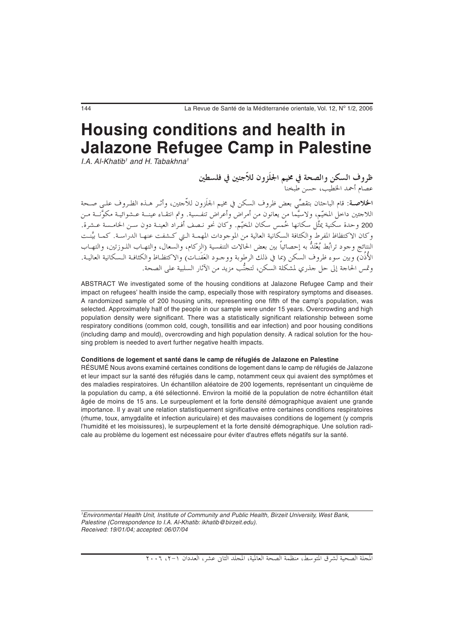# **Housing conditions and health in Jalazone Refugee Camp in Palestine**

I.A. Al-Khatib<sup>1</sup> and H. Tabakhna<sup>1</sup>

ظروف السكن والصحة في مخيم الجلَزون للاّجئين في فلسطين<br>عصام أحمد الخطيب، حسن طبخنا

**الخلاصـة**: قام الباحثان بتقصِّي بعض ظروف السكن في مخيم الجلَزون للاَّجئين، وأثـر هـذه الظـروف علـى صـحة اللاجئين داخلْ المخيّم، ولاسيَّما من يعانون من أمراضٌ وأعراض تنفسية. وتم انتقـاء عينــة عـشوائيـة مكوَّنــة مـن .<br>200 وحدة سكنية يمثِّل سكانها خُمس سكان المخيّم. وكان نحو نـصف أفـراد العينـة دون سـن الخامـسة عـشرة. وكان الاكتظاظ المفرط والكثافة السكانية العالية من الموجودات المهمـة الـتي كـشفت عنهـا الدراسـة. كمـا بيَّنـت النتائج وجود ترابُط يُغْتَدُّ به إحصائياً بين بعض الحالات التنفسية (الزكام، والسعال، والتهـاب اللـوزتين، والتهـاب الأُذُن) وبين سوء ظروف السكن (بما في ذلك الرطوبة ووجـود العَفَنـات) والاكتظـاظ والكثافـة الـسكانية العاليـة. وتمس الحاجة إلى حل جذري لمشكلة السكن، لتجنُّب مزيد من الآثار السلبية على الصحة.

ABSTRACT We investigated some of the housing conditions at Jalazone Refugee Camp and their impact on refugees' health inside the camp, especially those with respiratory symptoms and diseases. A randomized sample of 200 housing units, representing one fifth of the camp's population, was selected. Approximately half of the people in our sample were under 15 years. Overcrowding and high population density were significant. There was a statistically significant relationship between some respiratory conditions (common cold, cough, tonsillitis and ear infection) and poor housing conditions (including damp and mould), overcrowding and high population density. A radical solution for the housing problem is needed to avert further negative health impacts.

#### **Conditions de logement et santé dans le camp de réfugiés de Jalazone en Palestine**

RÉSUMÉ Nous avons examiné certaines conditions de logement dans le camp de réfugiés de Jalazone et leur impact sur la santé des réfugiés dans le camp, notamment ceux qui avaient des symptômes et des maladies respiratoires. Un échantillon aléatoire de 200 logements, représentant un cinquième de la population du camp, a été sélectionné. Environ la moitié de la population de notre échantillon était âgée de moins de 15 ans. Le surpeuplement et la forte densité démographique avaient une grande importance. Il y avait une relation statistiquement significative entre certaines conditions respiratoires (rhume, toux, amygdalite et infection auriculaire) et des mauvaises conditions de logement (y compris l'humidité et les moisissures), le surpeuplement et la forte densité démographique. Une solution radicale au problème du logement est nécessaire pour éviter d'autres effets négatifs sur la santé.

1 Environmental Health Unit, Institute of Community and Public Health, Birzeit University, West Bank, Palestine (Correspondence to I.A. Al-Khatib: ikhatib@birzeit.edu). Received: 19/01/04; accepted: 06/07/04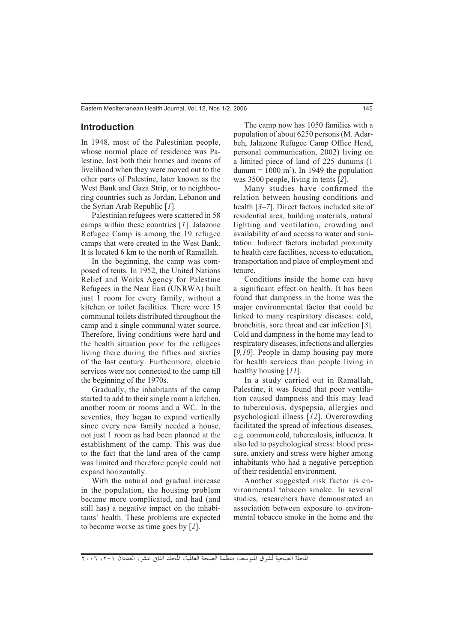# **Introduction**

In 1948, most of the Palestinian people, whose normal place of residence was Palestine, lost both their homes and means of livelihood when they were moved out to the other parts of Palestine, later known as the West Bank and Gaza Strip, or to neighbouring countries such as Jordan, Lebanon and the Syrian Arab Republic [*1*].

Palestinian refugees were scattered in 58 camps within these countries [*1*]. Jalazone Refugee Camp is among the 19 refugee camps that were created in the West Bank. It is located 6 km to the north of Ramallah.

In the beginning, the camp was composed of tents. In 1952, the United Nations Relief and Works Agency for Palestine Refugees in the Near East (UNRWA) built just 1 room for every family, without a kitchen or toilet facilities. There were 15 communal toilets distributed throughout the camp and a single communal water source. Therefore, living conditions were hard and the health situation poor for the refugees living there during the fifties and sixties of the last century. Furthermore, electric services were not connected to the camp till the beginning of the 1970s.

Gradually, the inhabitants of the camp started to add to their single room a kitchen, another room or rooms and a WC. In the seventies, they began to expand vertically since every new family needed a house, not just 1 room as had been planned at the establishment of the camp. This was due to the fact that the land area of the camp was limited and therefore people could not expand horizontally.

With the natural and gradual increase in the population, the housing problem became more complicated, and had (and still has) a negative impact on the inhabitants' health. These problems are expected to become worse as time goes by [*2*].

The camp now has 1050 families with a population of about 6250 persons (M. Adarbeh, Jalazone Refugee Camp Office Head, personal communication, 2002) living on a limited piece of land of 225 dunums (1  ${\text{dunum}} = 1000 \text{ m}^2$ ). In 1949 the population was 3500 people, living in tents [*2*].

Many studies have confirmed the relation between housing conditions and health [*3–7*]. Direct factors included site of residential area, building materials, natural lighting and ventilation, crowding and availability of and access to water and sanitation. Indirect factors included proximity to health care facilities, access to education, transportation and place of employment and tenure.

Conditions inside the home can have a significant effect on health. It has been found that dampness in the home was the major environmental factor that could be linked to many respiratory diseases: cold, bronchitis, sore throat and ear infection [*8*]. Cold and dampness in the home may lead to respiratory diseases, infections and allergies [*9,10*]. People in damp housing pay more for health services than people living in healthy housing [*11*].

In a study carried out in Ramallah, Palestine, it was found that poor ventilation caused dampness and this may lead to tuberculosis, dyspepsia, allergies and psychological illness [*12*]. Overcrowding facilitated the spread of infectious diseases, e.g. common cold, tuberculosis, influenza. It also led to psychological stress: blood pressure, anxiety and stress were higher among inhabitants who had a negative perception of their residential environment.

Another suggested risk factor is environmental tobacco smoke. In several studies, researchers have demonstrated an association between exposure to environmental tobacco smoke in the home and the

المجلة الصحية لشرق المتوسط، منظمة الصحة العالمية، المجلد الثاني عشر، العددان ١-٢، ٢٠٠٦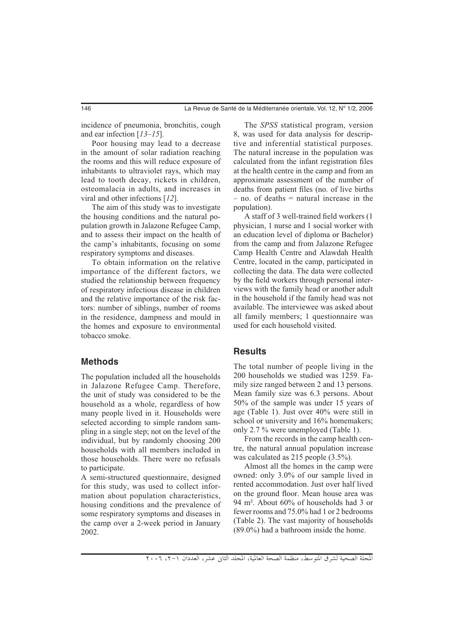incidence of pneumonia, bronchitis, cough and ear infection [*13–15*].

Poor housing may lead to a decrease in the amount of solar radiation reaching the rooms and this will reduce exposure of inhabitants to ultraviolet rays, which may lead to tooth decay, rickets in children, osteomalacia in adults, and increases in viral and other infections [*12*].

The aim of this study was to investigate the housing conditions and the natural population growth in Jalazone Refugee Camp, and to assess their impact on the health of the camp's inhabitants, focusing on some respiratory symptoms and diseases.

To obtain information on the relative importance of the different factors, we studied the relationship between frequency of respiratory infectious disease in children and the relative importance of the risk factors: number of siblings, number of rooms in the residence, dampness and mould in the homes and exposure to environmental tobacco smoke.

## **Methods**

The population included all the households in Jalazone Refugee Camp. Therefore, the unit of study was considered to be the household as a whole, regardless of how many people lived in it. Households were selected according to simple random sampling in a single step; not on the level of the individual, but by randomly choosing 200 households with all members included in those households. There were no refusals to participate.

A semi-structured questionnaire, designed for this study, was used to collect information about population characteristics, housing conditions and the prevalence of some respiratory symptoms and diseases in the camp over a 2-week period in January 2002.

The *SPSS* statistical program, version 8, was used for data analysis for descriptive and inferential statistical purposes. The natural increase in the population was calculated from the infant registration files at the health centre in the camp and from an approximate assessment of the number of deaths from patient files (no. of live births  $-$  no. of deaths  $=$  natural increase in the population).

A staff of 3 well-trained field workers (1 physician, 1 nurse and 1 social worker with an education level of diploma or Bachelor) from the camp and from Jalazone Refugee Camp Health Centre and Alawdah Health Centre, located in the camp, participated in collecting the data. The data were collected by the field workers through personal interviews with the family head or another adult in the household if the family head was not available. The interviewee was asked about all family members; 1 questionnaire was used for each household visited.

#### **Results**

The total number of people living in the 200 households we studied was 1259. Family size ranged between 2 and 13 persons. Mean family size was 6.3 persons. About 50% of the sample was under 15 years of age (Table 1). Just over 40% were still in school or university and 16% homemakers; only 2.7 % were unemployed (Table 1).

From the records in the camp health centre, the natural annual population increase was calculated as 215 people (3.5%).

Almost all the homes in the camp were owned: only 3.0% of our sample lived in rented accommodation. Just over half lived on the ground floor. Mean house area was 94 m². About 60% of households had 3 or fewer rooms and 75.0% had 1 or 2 bedrooms (Table 2). The vast majority of households (89.0%) had a bathroom inside the home.

المجلة الصحية لشرق المتوسط، منظمة الصحة العالمية، المجلد الثاني عشر، العددان ١-٢، ٢٠٠٦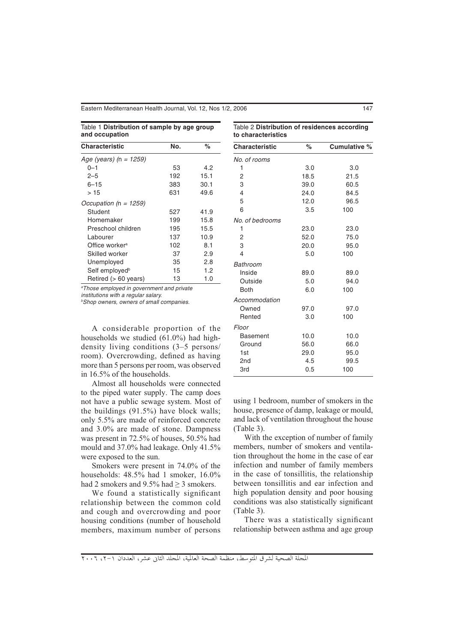Eastern Mediterranean Health Journal, Vol. 12, Nos 1/2, 2006 147

| Table 1 Distribution of sample by age group |  |  |
|---------------------------------------------|--|--|
| and occupation                              |  |  |

| Table 2 Distribution of residences according |  |
|----------------------------------------------|--|
| to characteristics                           |  |

| <b>Characteristic</b>      | No. | %    |
|----------------------------|-----|------|
| Age (years) (n = $1259$ )  |     |      |
| 0-1                        | 53  | 4.2  |
| $2 - 5$                    | 192 | 15.1 |
| $6 - 15$                   | 383 | 30.1 |
| >15                        | 631 | 49.6 |
| Occupation ( $n = 1259$ )  |     |      |
| Student                    | 527 | 41.9 |
| Homemaker                  | 199 | 15.8 |
| Preschool children         | 195 | 15.5 |
| Labourer                   | 137 | 10.9 |
| Office worker <sup>a</sup> | 102 | 8.1  |
| Skilled worker             | 37  | 2.9  |
| Unemployed                 | 35  | 2.8  |
| Self employed <sup>b</sup> | 15  | 1.2  |
| Retired (> 60 years)       | 13  | 1.0  |

a Those employed in government and private

institutions with a regular salary.

b Shop owners, owners of small companies.

A considerable proportion of the households we studied (61.0%) had highdensity living conditions (3–5 persons/ room). Overcrowding, defined as having more than 5 persons per room, was observed in 16.5% of the households.

Almost all households were connected to the piped water supply. The camp does not have a public sewage system. Most of the buildings (91.5%) have block walls; only 5.5% are made of reinforced concrete and 3.0% are made of stone. Dampness was present in 72.5% of houses, 50.5% had mould and 37.0% had leakage. Only 41.5% were exposed to the sun.

Smokers were present in 74.0% of the households: 48.5% had 1 smoker, 16.0% had 2 smokers and 9.5% had > 3 smokers.

We found a statistically significant relationship between the common cold and cough and overcrowding and poor housing conditions (number of household members, maximum number of persons

| Characteristic  | $\%$ | Cumulative % |
|-----------------|------|--------------|
| No. of rooms    |      |              |
| 1               | 3.0  | 3.0          |
| 2               | 18.5 | 21.5         |
| 3               | 39.0 | 60.5         |
| 4               | 24.0 | 84.5         |
| 5               | 12.0 | 96.5         |
| 6               | 3.5  | 100          |
| No. of bedrooms |      |              |
| 1               | 23.0 | 23.0         |
| 2               | 52.0 | 75.0         |
| 3               | 20.0 | 95.0         |
| 4               | 5.0  | 100          |
| Bathroom        |      |              |
| Inside          | 89.0 | 89.0         |
| Outside         | 5.0  | 94.0         |
| <b>Both</b>     | 6.0  | 100          |
| Accommodation   |      |              |
| Owned           | 97.0 | 97.0         |
| Rented          | 3.0  | 100          |
| Floor           |      |              |
| Basement        | 10.0 | 10.0         |
| Ground          | 56.0 | 66.0         |
| 1st             | 29.0 | 95.0         |
| 2 <sub>nd</sub> | 4.5  | 99.5         |
| 3rd             | 0.5  | 100          |

using 1 bedroom, number of smokers in the house, presence of damp, leakage or mould, and lack of ventilation throughout the house (Table 3).

With the exception of number of family members, number of smokers and ventilation throughout the home in the case of ear infection and number of family members in the case of tonsillitis, the relationship between tonsillitis and ear infection and high population density and poor housing conditions was also statistically significant (Table 3).

There was a statistically significant relationship between asthma and age group

المجلة الصحية لشرق المتوسط، منظمة الصحة العالمية، المجلد الثاني عشر، العددان ١-٢، ٢٠٠٦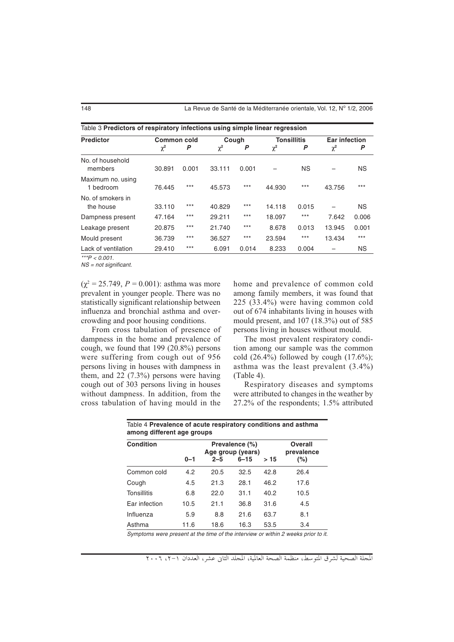148 La Revue de Santé de la Méditerranée orientale, Vol. 12, Nº 1/2, 2006

| Table 3 Predictors of respiratory infections using simple linear regression |                    |       |          |       |                    |           |                      |           |
|-----------------------------------------------------------------------------|--------------------|-------|----------|-------|--------------------|-----------|----------------------|-----------|
| <b>Predictor</b>                                                            | <b>Common cold</b> |       | Cough    |       | <b>Tonsillitis</b> |           | <b>Ear infection</b> |           |
|                                                                             | $\chi^2$           | P     | $\chi^2$ | P     | $\chi^2$           | P         | $\chi^2$             | P         |
| No. of household<br>members                                                 | 30.891             | 0.001 | 33.111   | 0.001 |                    | <b>NS</b> |                      | <b>NS</b> |
| Maximum no. using<br>1 hedroom                                              | 76.445             | $***$ | 45.573   | $***$ | 44.930             | $***$     | 43.756               | $***$     |
| No. of smokers in<br>the house                                              | 33.110             | $***$ | 40.829   | $***$ | 14.118             | 0.015     |                      | NS.       |
| Dampness present                                                            | 47.164             | $***$ | 29.211   | $***$ | 18.097             | $***$     | 7.642                | 0.006     |
| Leakage present                                                             | 20.875             | $***$ | 21.740   | $***$ | 8.678              | 0.013     | 13.945               | 0.001     |
| Mould present                                                               | 36.739             | $***$ | 36.527   | $***$ | 23.594             | $***$     | 13.434               | $***$     |
| Lack of ventilation                                                         | 29.410             | $***$ | 6.091    | 0.014 | 8.233              | 0.004     |                      | <b>NS</b> |

 $\frac{1}{2}$  \*\*\*P < 0.001.

NS = not significant.

 $(\chi^2 = 25.749, P = 0.001)$ : asthma was more prevalent in younger people. There was no statistically significant relationship between influenza and bronchial asthma and overcrowding and poor housing conditions.

From cross tabulation of presence of dampness in the home and prevalence of cough, we found that 199 (20.8%) persons were suffering from cough out of 956 persons living in houses with dampness in them, and 22 (7.3%) persons were having cough out of 303 persons living in houses without dampness. In addition, from the cross tabulation of having mould in the

home and prevalence of common cold among family members, it was found that 225 (33.4%) were having common cold out of 674 inhabitants living in houses with mould present, and 107 (18.3%) out of 585 persons living in houses without mould.

The most prevalent respiratory condition among our sample was the common cold  $(26.4\%)$  followed by cough  $(17.6\%)$ ; asthma was the least prevalent (3.4%) (Table 4).

Respiratory diseases and symptoms were attributed to changes in the weather by 27.2% of the respondents; 1.5% attributed

| <b>Condition</b> |         | Prevalence (%)<br>Age group (years) |          |      | <b>Overall</b><br>prevalence |
|------------------|---------|-------------------------------------|----------|------|------------------------------|
|                  | $0 - 1$ | $2 - 5$                             | $6 - 15$ | >15  | $(\% )$                      |
| Common cold      | 4.2     | 20.5                                | 32.5     | 42.8 | 26.4                         |
| Cough            | 4.5     | 21.3                                | 28.1     | 46.2 | 17.6                         |
| Tonsillitis      | 6.8     | 22.0                                | 31.1     | 40.2 | 10.5                         |
| Ear infection    | 10.5    | 21.1                                | 36.8     | 31.6 | 4.5                          |
| Influenza        | 5.9     | 8.8                                 | 21.6     | 63.7 | 8.1                          |
| Asthma           | 11.6    | 18.6                                | 16.3     | 53.5 | 3.4                          |

mptoms were present at the time of the interview or within 2 weeks prior to it.

المجلة الصحية لشرق المتوسط، منظمة الصحة العالمية، المجلد الثابي عشر، العددان (-٢، ٢٠٠٦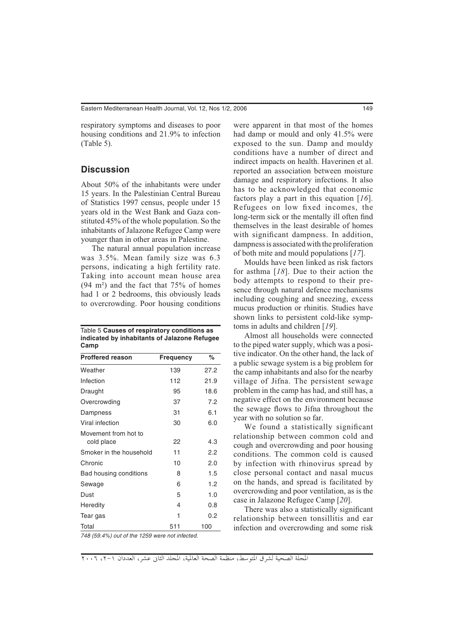respiratory symptoms and diseases to poor housing conditions and 21.9% to infection (Table 5).

### **Discussion**

About 50% of the inhabitants were under 15 years. In the Palestinian Central Bureau of Statistics 1997 census, people under 15 years old in the West Bank and Gaza constituted 45% of the whole population. So the inhabitants of Jalazone Refugee Camp were younger than in other areas in Palestine.

The natural annual population increase was 3.5%. Mean family size was 6.3 persons, indicating a high fertility rate. Taking into account mean house area  $(94 \text{ m}^2)$  and the fact that  $75\%$  of homes had 1 or 2 bedrooms, this obviously leads to overcrowding. Poor housing conditions

| Table 5 Causes of respiratory conditions as  |
|----------------------------------------------|
| indicated by inhabitants of Jalazone Refugee |
| Camp                                         |

| <b>Frequency</b> | %    |
|------------------|------|
| 139              | 27.2 |
| 112              | 21.9 |
| 95               | 18.6 |
| 37               | 7.2  |
| 31               | 6.1  |
| 30               | 6.0  |
| 22               | 4.3  |
| 11               | 2.2  |
| 10               | 2.0  |
| 8                | 1.5  |
| 6                | 1.2  |
| 5                | 1.0  |
| 4                | 0.8  |
| 1                | 0.2  |
| 511              | 100  |
|                  |      |

were apparent in that most of the homes

had damp or mould and only 41.5% were exposed to the sun. Damp and mouldy conditions have a number of direct and indirect impacts on health. Haverinen et al. reported an association between moisture damage and respiratory infections. It also has to be acknowledged that economic factors play a part in this equation [*16*]. Refugees on low fixed incomes, the long-term sick or the mentally ill often find themselves in the least desirable of homes with significant dampness. In addition, dampness is associated with the proliferation of both mite and mould populations [*17*].

Moulds have been linked as risk factors for asthma [*18*]. Due to their action the body attempts to respond to their presence through natural defence mechanisms including coughing and sneezing, excess mucus production or rhinitis. Studies have shown links to persistent cold-like symptoms in adults and children [*19*].

Almost all households were connected to the piped water supply, which was a positive indicator. On the other hand, the lack of a public sewage system is a big problem for the camp inhabitants and also for the nearby village of Jifna. The persistent sewage problem in the camp has had, and still has, a negative effect on the environment because the sewage flows to Jifna throughout the year with no solution so far.

We found a statistically significant relationship between common cold and cough and overcrowding and poor housing conditions. The common cold is caused by infection with rhinovirus spread by close personal contact and nasal mucus on the hands, and spread is facilitated by overcrowding and poor ventilation, as is the case in Jalazone Refugee Camp [*20*].

There was also a statistically significant relationship between tonsillitis and ear infection and overcrowding and some risk

748 (59.4%) out of the 1259 were not infected.

المجلة الصحية لشرق المتوسط، منظمة الصحة العالمية، المجلد الثاني عشر، العددان ١-٢، ٢٠٠٦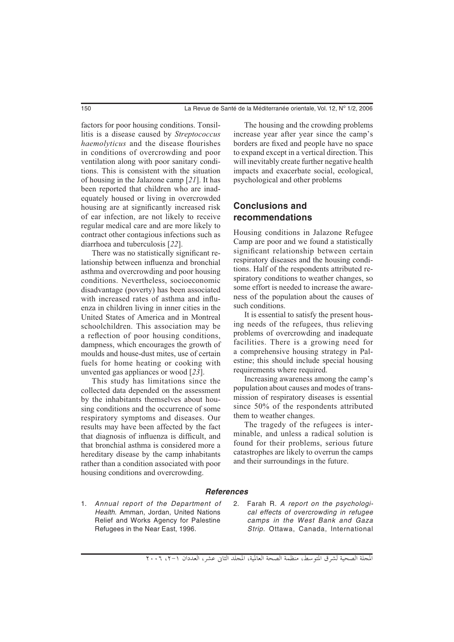factors for poor housing conditions. Tonsillitis is a disease caused by *Streptococcus haemolyticus* and the disease flourishes in conditions of overcrowding and poor ventilation along with poor sanitary conditions. This is consistent with the situation of housing in the Jalazone camp [*21*]. It has been reported that children who are inadequately housed or living in overcrowded housing are at significantly increased risk of ear infection, are not likely to receive regular medical care and are more likely to contract other contagious infections such as diarrhoea and tuberculosis [*22*].

There was no statistically significant relationship between influenza and bronchial asthma and overcrowding and poor housing conditions. Nevertheless, socioeconomic disadvantage (poverty) has been associated with increased rates of asthma and influenza in children living in inner cities in the United States of America and in Montreal schoolchildren. This association may be a reflection of poor housing conditions, dampness, which encourages the growth of moulds and house-dust mites, use of certain fuels for home heating or cooking with unvented gas appliances or wood [*23*].

This study has limitations since the collected data depended on the assessment by the inhabitants themselves about housing conditions and the occurrence of some respiratory symptoms and diseases. Our results may have been affected by the fact that diagnosis of influenza is difficult, and that bronchial asthma is considered more a hereditary disease by the camp inhabitants rather than a condition associated with poor housing conditions and overcrowding.

The housing and the crowding problems increase year after year since the camp's borders are fixed and people have no space to expand except in a vertical direction. This will inevitably create further negative health impacts and exacerbate social, ecological, psychological and other problems

# **Conclusions and recommendations**

Housing conditions in Jalazone Refugee Camp are poor and we found a statistically significant relationship between certain respiratory diseases and the housing conditions. Half of the respondents attributed respiratory conditions to weather changes, so some effort is needed to increase the awareness of the population about the causes of such conditions.

It is essential to satisfy the present housing needs of the refugees, thus relieving problems of overcrowding and inadequate facilities. There is a growing need for a comprehensive housing strategy in Palestine; this should include special housing requirements where required.

Increasing awareness among the camp's population about causes and modes of transmission of respiratory diseases is essential since 50% of the respondents attributed them to weather changes.

The tragedy of the refugees is interminable, and unless a radical solution is found for their problems, serious future catastrophes are likely to overrun the camps and their surroundings in the future.

#### *References*

- 1. Annual report of the Department of Health. Amman, Jordan, United Nations Relief and Works Agency for Palestine Refugees in the Near East, 1996.
- 2. Farah R. A report on the psychological effects of overcrowding in refugee camps in the West Bank and Gaza Strip. Ottawa, Canada, International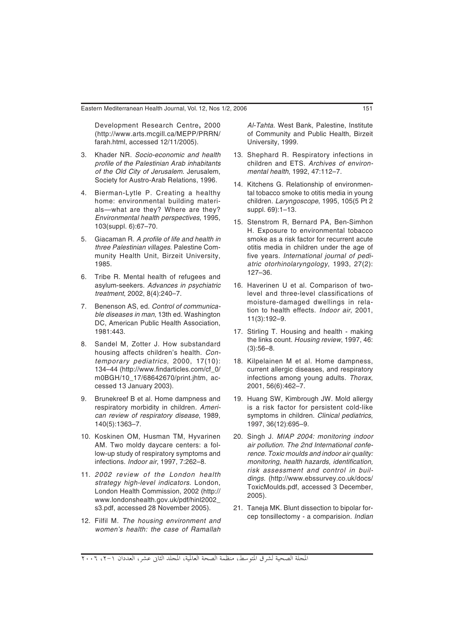Development Research Centre**,** 2000 (http://www.arts.mcgill.ca/MEPP/PRRN/ farah.html, accessed 12/11/2005).

- 3. Khader NR. Socio-economic and health profile of the Palestinian Arab inhabitants of the Old City of Jerusalem. Jerusalem, Society for Austro-Arab Relations, 1996.
- 4. Bierman-Lytle P. Creating a healthy home: environmental building materials—what are they? Where are they? Environmental health perspectives, 1995, 103(suppl. 6):67–70.
- 5. Giacaman R. A profile of life and health in three Palestinian villages. Palestine Community Health Unit, Birzeit University, 1985.
- 6. Tribe R. Mental health of refugees and asylum-seekers. Advances in psychiatric treatment, 2002, 8(4):240–7.
- 7. Benenson AS, ed. Control of communicable diseases in man, 13th ed. Washington DC, American Public Health Association, 1981:443.
- 8. Sandel M, Zotter J. How substandard housing affects children's health. Contemporary pediatrics, 2000, 17(10): 134–44 (http://www.findarticles.com/cf\_0/ m0BGH/10\_17/68642670/print.jhtm, accessed 13 January 2003).
- 9. Brunekreef B et al. Home dampness and respiratory morbidity in children. American review of respiratory disease, 1989, 140(5):1363–7.
- 10. Koskinen OM, Husman TM, Hyvarinen AM. Two moldy daycare centers: a follow-up study of respiratory symptoms and infections. Indoor air, 1997, 7:262–8.
- 11. 2002 review of the London health strategy high-level indicators. London, London Health Commission, 2002 (http:// www.londonshealth.gov.uk/pdf/hinl2002\_ s3.pdf, accessed 28 November 2005).
- 12. Filfil M. The housing environment and women's health: the case of Ramallah

Al-Tahta. West Bank, Palestine, Institute of Community and Public Health, Birzeit University, 1999.

- 13. Shephard R. Respiratory infections in children and ETS. Archives of environmental health, 1992, 47:112–7.
- 14. Kitchens G. Relationship of environmental tobacco smoke to otitis media in young children. Laryngoscope, 1995, 105(5 Pt 2 suppl. 69):1–13.
- 15. Stenstrom R, Bernard PA, Ben-Simhon H. Exposure to environmental tobacco smoke as a risk factor for recurrent acute otitis media in children under the age of five years. International journal of pediatric otorhinolaryngology, 1993, 27(2): 127–36.
- 16. Haverinen U et al. Comparison of twolevel and three-level classifications of moisture-damaged dwellings in relation to health effects. Indoor air, 2001, 11(3):192–9.
- 17. Stirling T. Housing and health making the links count. Housing review, 1997, 46: (3):56–8.
- 18. Kilpelainen M et al. Home dampness, current allergic diseases, and respiratory infections among young adults. Thorax, 2001, 56(6):462–7.
- 19. Huang SW, Kimbrough JW. Mold allergy is a risk factor for persistent cold-like symptoms in children. Clinical pediatrics, 1997, 36(12):695–9.
- 20. Singh J. MIAP 2004: monitoring indoor air pollution. The 2nd International conference. Toxic moulds and indoor air quality: monitoring, health hazards, identification, risk assessment and control in buildings. (http://www.ebssurvey.co.uk/docs/ ToxicMoulds.pdf, accessed 3 December, 2005).
- 21. Taneja MK. Blunt dissection to bipolar forcep tonsillectomy - a comparision. Indian

المجلة الصحية لشرق المتوسط، منظمة الصحة العالمية، المجلد الثاني عشر، العددان ١-٢، ٢٠٠٦